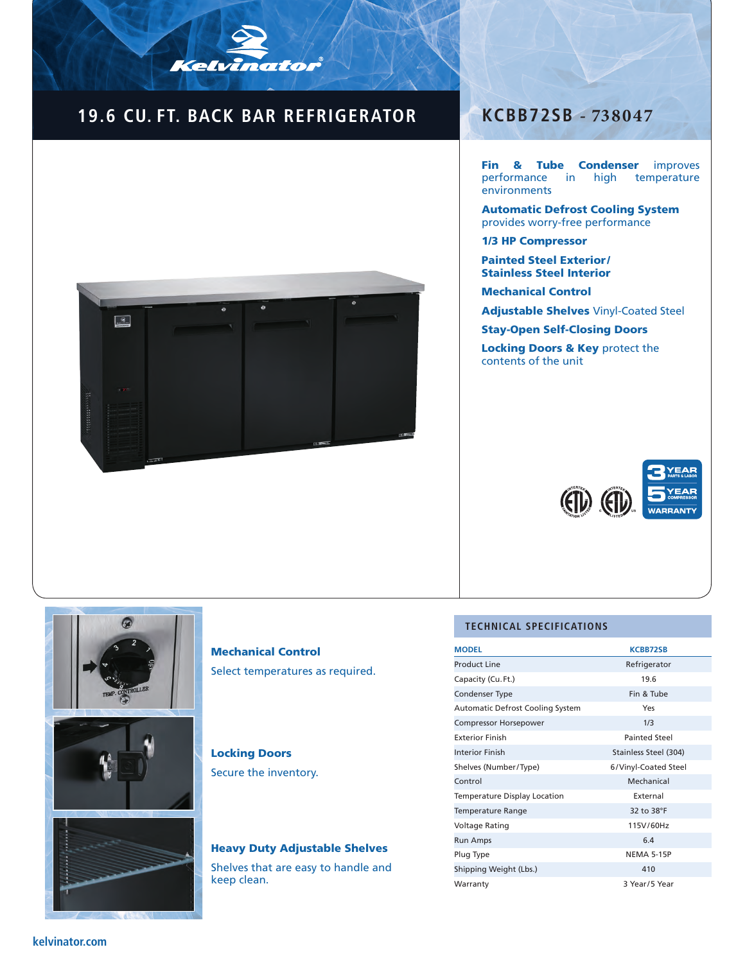## **19.6 CU. FT. BACK BAR REFRIGERATOR**

Kelvinator



### **KCBB72SB - 738047**

Fin & Tube Condenser improves performance in high temperature environments

Automatic Defrost Cooling System provides worry-free performance

1/3 HP Compressor

Painted Steel Exterior / Stainless Steel Interior

Mechanical Control

Adjustable Shelves Vinyl-Coated Steel

Stay-Open Self-Closing Doors

Locking Doors & Key protect the contents of the unit





Mechanical Control Select temperatures as required.

### Locking Doors

Secure the inventory.

# Heavy Duty Adjustable Shelves

Shelves that are easy to handle and keep clean.

#### **TECHNICAL SPECIFICATIONS**

| <b>MODEL</b>                            | <b>KCBB72SB</b>       |  |
|-----------------------------------------|-----------------------|--|
| <b>Product Line</b>                     | Refrigerator          |  |
| Capacity (Cu. Ft.)                      | 19.6                  |  |
| Condenser Type                          | Fin & Tube            |  |
| <b>Automatic Defrost Cooling System</b> | Yes                   |  |
| <b>Compressor Horsepower</b>            | 1/3                   |  |
| <b>Exterior Finish</b>                  | <b>Painted Steel</b>  |  |
| <b>Interior Finish</b>                  | Stainless Steel (304) |  |
| Shelves (Number/Type)                   | 6/Vinyl-Coated Steel  |  |
| Control                                 | Mechanical            |  |
| Temperature Display Location            | External              |  |
| Temperature Range                       | 32 to 38°F            |  |
| Voltage Rating                          | 115V/60Hz             |  |
| <b>Run Amps</b>                         | 6.4                   |  |
| Plug Type                               | <b>NEMA 5-15P</b>     |  |
| Shipping Weight (Lbs.)                  | 410                   |  |
| Warranty                                | 3 Year/5 Year         |  |

#### **kelvinator.com**